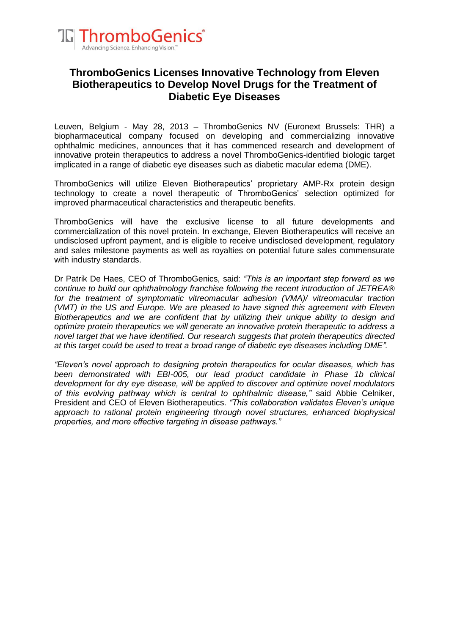

# **ThromboGenics Licenses Innovative Technology from Eleven Biotherapeutics to Develop Novel Drugs for the Treatment of Diabetic Eye Diseases**

Leuven, Belgium - May 28, 2013 – ThromboGenics NV (Euronext Brussels: THR) a biopharmaceutical company focused on developing and commercializing innovative ophthalmic medicines, announces that it has commenced research and development of innovative protein therapeutics to address a novel ThromboGenics-identified biologic target implicated in a range of diabetic eye diseases such as diabetic macular edema (DME).

ThromboGenics will utilize Eleven Biotherapeutics' proprietary AMP-Rx protein design technology to create a novel therapeutic of ThromboGenics' selection optimized for improved pharmaceutical characteristics and therapeutic benefits.

ThromboGenics will have the exclusive license to all future developments and commercialization of this novel protein. In exchange, Eleven Biotherapeutics will receive an undisclosed upfront payment, and is eligible to receive undisclosed development, regulatory and sales milestone payments as well as royalties on potential future sales commensurate with industry standards.

Dr Patrik De Haes, CEO of ThromboGenics, said: *"This is an important step forward as we continue to build our ophthalmology franchise following the recent introduction of JETREA® for the treatment of symptomatic vitreomacular adhesion (VMA)/ vitreomacular traction (VMT) in the US and Europe. We are pleased to have signed this agreement with Eleven Biotherapeutics and we are confident that by utilizing their unique ability to design and optimize protein therapeutics we will generate an innovative protein therapeutic to address a novel target that we have identified. Our research suggests that protein therapeutics directed at this target could be used to treat a broad range of diabetic eye diseases including DME".*

*"Eleven's novel approach to designing protein therapeutics for ocular diseases, which has been demonstrated with EBI-005, our lead product candidate in Phase 1b clinical development for dry eye disease, will be applied to discover and optimize novel modulators of this evolving pathway which is central to ophthalmic disease,"* said Abbie Celniker, President and CEO of Eleven Biotherapeutics. *"This collaboration validates Eleven's unique approach to rational protein engineering through novel structures, enhanced biophysical properties, and more effective targeting in disease pathways."*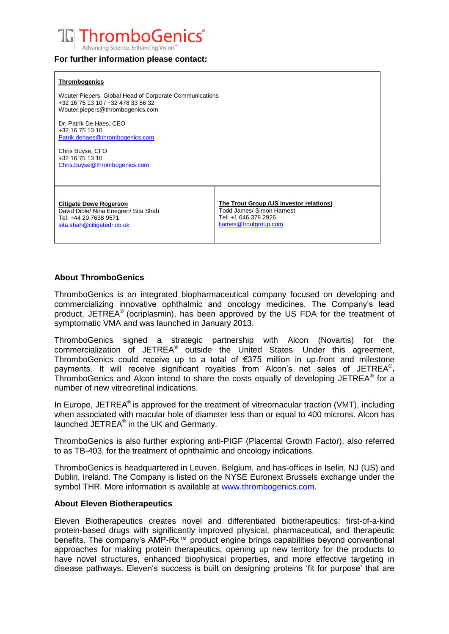

### **For further information please contact:**

## **Thrombogenics** Wouter Piepers, Global Head of Corporate Communications +32 16 75 13 10 / +32 478 33 56 32 Wouter.piepers@thrombogenics.com Dr. Patrik De Haes, CEO +32 16 75 13 10 Patrik.dehaes@thrombogenics.com Chris Buyse, CFO +32 16 75 13 10 [Chris.buyse@thrombogenics.com](mailto:Chris.buyse@thrombogenics.com) **Citigate Dewe Rogerson** David Dible/ Nina Enegren/ Sita Shah Tel: +44 20 7638 9571 [sita.shah@citigatedr.co.uk](mailto:sita.shah@citigatedr.co.uk) **The Trout Group (US investor relations)** Todd James/ Simon Harnest Tel: +1 646 378 2926 [tjames@troutgroup.com](mailto:tjames@troutgroup.com)

# **About ThromboGenics**

ThromboGenics is an integrated biopharmaceutical company focused on developing and commercializing innovative ophthalmic and oncology medicines. The Company's lead product, JETREA® (ocriplasmin), has been approved by the US FDA for the treatment of symptomatic VMA and was launched in January 2013.

ThromboGenics signed a strategic partnership with Alcon (Novartis) for the commercialization of JETREA<sup>®</sup> outside the United States. Under this agreement, ThromboGenics could receive up to a total of €375 million in up-front and milestone payments. It will receive significant royalties from Alcon's net sales of JETREA® **.** ThromboGenics and Alcon intend to share the costs equally of developing JETREA® for a number of new vitreoretinal indications.

In Europe, JETREA<sup>®</sup> is approved for the treatment of vitreomacular traction (VMT), including when associated with macular hole of diameter less than or equal to 400 microns. Alcon has launched JETREA<sup>®</sup> in the UK and Germany.

ThromboGenics is also further exploring anti-PIGF (Placental Growth Factor), also referred to as TB-403, for the treatment of ophthalmic and oncology indications.

ThromboGenics is headquartered in Leuven, Belgium, and has-offices in Iselin, NJ (US) and Dublin, Ireland. The Company is listed on the NYSE Euronext Brussels exchange under the symbol THR. More information is available at [www.thrombogenics.com.](http://www.thrombogenics.com/)

### **About Eleven Biotherapeutics**

Eleven Biotherapeutics creates novel and differentiated biotherapeutics: first-of-a-kind protein-based drugs with significantly improved physical, pharmaceutical, and therapeutic benefits. The company's AMP-Rx™ product engine brings capabilities beyond conventional approaches for making protein therapeutics, opening up new territory for the products to have novel structures, enhanced biophysical properties, and more effective targeting in disease pathways. Eleven's success is built on designing proteins 'fit for purpose' that are